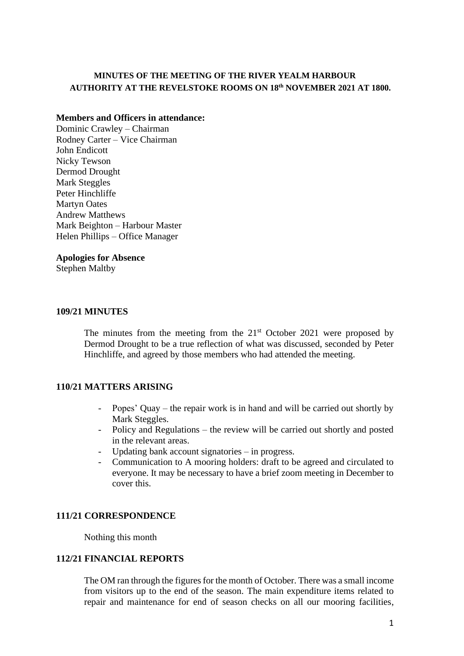## **MINUTES OF THE MEETING OF THE RIVER YEALM HARBOUR AUTHORITY AT THE REVELSTOKE ROOMS ON 18th NOVEMBER 2021 AT 1800.**

## **Members and Officers in attendance:**

Dominic Crawley – Chairman Rodney Carter – Vice Chairman John Endicott Nicky Tewson Dermod Drought Mark Steggles Peter Hinchliffe Martyn Oates Andrew Matthews Mark Beighton – Harbour Master Helen Phillips – Office Manager

#### **Apologies for Absence**

Stephen Maltby

## **109/21 MINUTES**

The minutes from the meeting from the  $21<sup>st</sup>$  October 2021 were proposed by Dermod Drought to be a true reflection of what was discussed, seconded by Peter Hinchliffe, and agreed by those members who had attended the meeting.

## **110/21 MATTERS ARISING**

- Popes' Quay the repair work is in hand and will be carried out shortly by Mark Steggles.
- Policy and Regulations the review will be carried out shortly and posted in the relevant areas.
- Updating bank account signatories in progress.
- Communication to A mooring holders: draft to be agreed and circulated to everyone. It may be necessary to have a brief zoom meeting in December to cover this.

## **111/21 CORRESPONDENCE**

Nothing this month

## **112/21 FINANCIAL REPORTS**

The OM ran through the figures for the month of October. There was a small income from visitors up to the end of the season. The main expenditure items related to repair and maintenance for end of season checks on all our mooring facilities,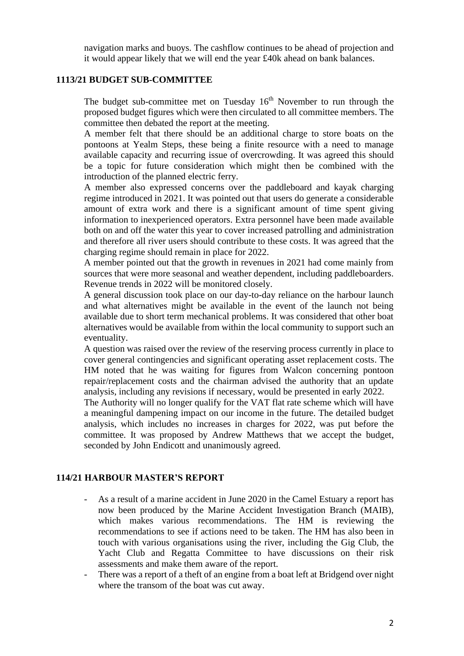navigation marks and buoys. The cashflow continues to be ahead of projection and it would appear likely that we will end the year £40k ahead on bank balances.

#### **1113/21 BUDGET SUB-COMMITTEE**

The budget sub-committee met on Tuesday  $16<sup>th</sup>$  November to run through the proposed budget figures which were then circulated to all committee members. The committee then debated the report at the meeting.

A member felt that there should be an additional charge to store boats on the pontoons at Yealm Steps, these being a finite resource with a need to manage available capacity and recurring issue of overcrowding. It was agreed this should be a topic for future consideration which might then be combined with the introduction of the planned electric ferry.

A member also expressed concerns over the paddleboard and kayak charging regime introduced in 2021. It was pointed out that users do generate a considerable amount of extra work and there is a significant amount of time spent giving information to inexperienced operators. Extra personnel have been made available both on and off the water this year to cover increased patrolling and administration and therefore all river users should contribute to these costs. It was agreed that the charging regime should remain in place for 2022.

A member pointed out that the growth in revenues in 2021 had come mainly from sources that were more seasonal and weather dependent, including paddleboarders. Revenue trends in 2022 will be monitored closely.

A general discussion took place on our day-to-day reliance on the harbour launch and what alternatives might be available in the event of the launch not being available due to short term mechanical problems. It was considered that other boat alternatives would be available from within the local community to support such an eventuality.

A question was raised over the review of the reserving process currently in place to cover general contingencies and significant operating asset replacement costs. The HM noted that he was waiting for figures from Walcon concerning pontoon repair/replacement costs and the chairman advised the authority that an update analysis, including any revisions if necessary, would be presented in early 2022.

The Authority will no longer qualify for the VAT flat rate scheme which will have a meaningful dampening impact on our income in the future. The detailed budget analysis, which includes no increases in charges for 2022, was put before the committee. It was proposed by Andrew Matthews that we accept the budget, seconded by John Endicott and unanimously agreed.

# **114/21 HARBOUR MASTER'S REPORT**

- As a result of a marine accident in June 2020 in the Camel Estuary a report has now been produced by the Marine Accident Investigation Branch (MAIB), which makes various recommendations. The HM is reviewing the recommendations to see if actions need to be taken. The HM has also been in touch with various organisations using the river, including the Gig Club, the Yacht Club and Regatta Committee to have discussions on their risk assessments and make them aware of the report.
- There was a report of a theft of an engine from a boat left at Bridgend over night where the transom of the boat was cut away.